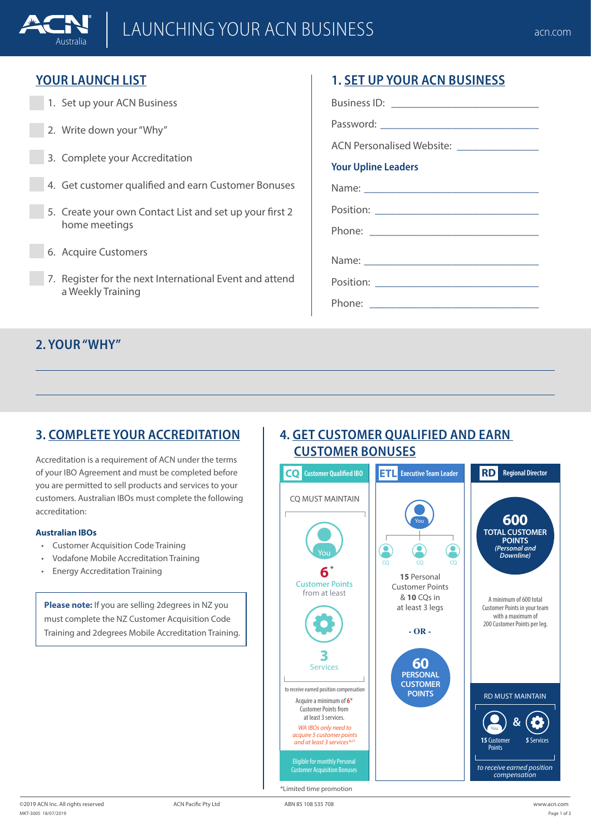# LAUNCHING YOUR ACN BUSINESS **CONSIDER ACT ACT ACT ACT ACT ACT** acn.com

### **YOUR LAUNCH LIST**

Australia

- 1. Set up your ACN Business
- 2. Write down your "Why"
- 3. Complete your Accreditation
- 4. Get customer qualified and earn Customer Bonuses
- 5. Create your own Contact List and set up your first 2 home meetings
- 6. Acquire Customers
- 7. Register for the next International Event and attend a Weekly Training

## **1. SET UP YOUR ACN BUSINESS**

Business ID:  $\Box$ 

Password:

ACN Personalised Website:

#### **Your Upline Leaders**

Name:

Position:

Phone:

Name:

Position: \_\_\_\_\_\_\_\_\_\_\_\_\_\_\_\_\_\_\_\_\_\_\_\_\_\_\_\_\_\_

Phone:

### **2. YOUR "WHY"**

### **3. COMPLETE YOUR ACCREDITATION**

Accreditation is a requirement of ACN under the terms of your IBO Agreement and must be completed before you are permitted to sell products and services to your customers. Australian IBOs must complete the following accreditation:

#### **Australian IBOs**

- Customer Acquisition Code Training
- Vodafone Mobile Accreditation Training
- Energy Accreditation Training

**Please note:** If you are selling 2degrees in NZ you must complete the NZ Customer Acquisition Code Training and 2degrees Mobile Accreditation Training.

### **4. GET CUSTOMER QUALIFIED AND EARN CUSTOMER BONUSES**

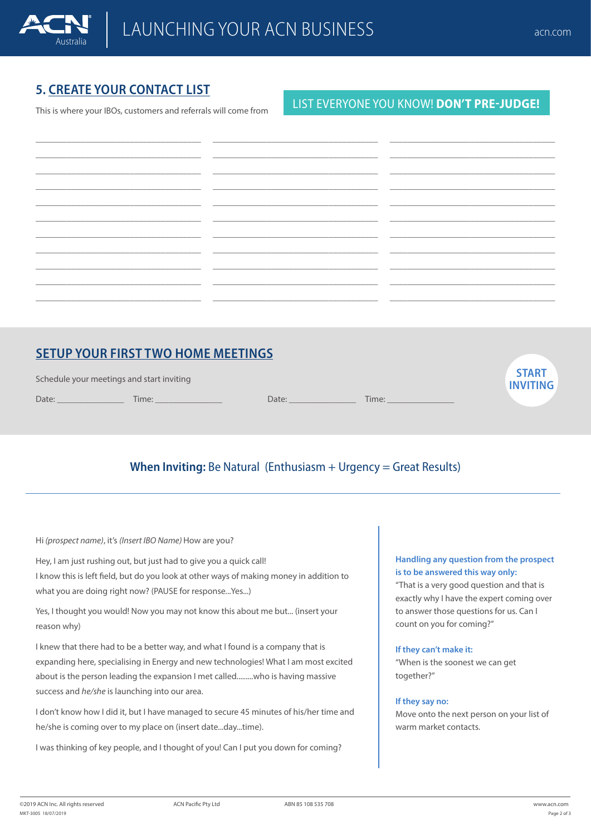### **5. CREATE YOUR CONTACT LIST**

This is where your IBOs, customers and referrals will come from

### LIST EVERYONE YOU KNOW! **DON'T PRE-JUDGE!**

| the contract of the contract of the contract of the contract of the contract of |                                                                                                                        |  |
|---------------------------------------------------------------------------------|------------------------------------------------------------------------------------------------------------------------|--|
|                                                                                 |                                                                                                                        |  |
|                                                                                 |                                                                                                                        |  |
|                                                                                 | <u> 1980 - Johann John Harry Harry Harry Harry Harry Harry Harry Harry Harry Harry Harry Harry Harry Harry Harry H</u> |  |
|                                                                                 |                                                                                                                        |  |
|                                                                                 |                                                                                                                        |  |

### **SETUP YOUR FIRST TWO HOME MEETINGS**

| Schedule your meetings and start inviting |       |       |       | <b>START</b><br><b>INVITING</b> |
|-------------------------------------------|-------|-------|-------|---------------------------------|
| Date:                                     | Time: | Date: | Time: |                                 |

### **When Inviting:** Be Natural (Enthusiasm + Urgency = Great Results)

Hi *(prospect name)*, it's *(Insert IBO Name)* How are you?

Hey, I am just rushing out, but just had to give you a quick call! I know this is left field, but do you look at other ways of making money in addition to what you are doing right now? (PAUSE for response...Yes...)

Yes, I thought you would! Now you may not know this about me but... (insert your reason why)

I knew that there had to be a better way, and what I found is a company that is expanding here, specialising in Energy and new technologies! What I am most excited about is the person leading the expansion I met called.........who is having massive success and *he/she* is launching into our area.

I don't know how I did it, but I have managed to secure 45 minutes of his/her time and he/she is coming over to my place on (insert date...day...time).

I was thinking of key people, and I thought of you! Can I put you down for coming?

#### **Handling any question from the prospect is to be answered this way only:**

"That is a very good question and that is exactly why I have the expert coming over to answer those questions for us. Can I count on you for coming?"

#### **If they can't make it:**

"When is the soonest we can get together?"

#### **If they say no:**

Move onto the next person on your list of warm market contacts.